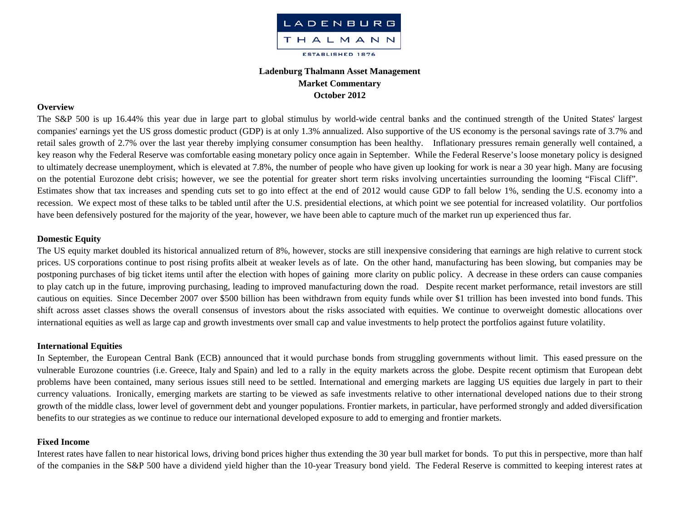

# **Ladenburg Thalmann Asset Management Market Commentary October 2012**

## **Overview**

The S&P 500 is up 16.44% this year due in large part to global stimulus by world-wide central banks and the continued strength of the United States' largest companies' earnings yet the US gross domestic product (GDP) is at only 1.3% annualized. Also supportive of the US economy is the personal savings rate of 3.7% and retail sales growth of 2.7% over the last year thereby implying consumer consumption has been healthy. Inflationary pressures remain generally well contained, a key reason why the Federal Reserve was comfortable easing monetary policy once again in September. While the Federal Reserve's loose monetary policy is designed to ultimately decrease unemployment, which is elevated at 7.8%, the number of people who have given up looking for work is near a 30 year high. Many are focusing on the potential Eurozone debt crisis; however, we see the potential for greater short term risks involving uncertainties surrounding the looming "Fiscal Cliff". Estimates show that tax increases and spending cuts set to go into effect at the end of 2012 would cause GDP to fall below 1%, sending the U.S. economy into a recession. We expect most of these talks to be tabled until after the U.S. presidential elections, at which point we see potential for increased volatility. Our portfolios have been defensively postured for the majority of the year, however, we have been able to capture much of the market run up experienced thus far.

#### **Domestic Equity**

The US equity market doubled its historical annualized return of 8%, however, stocks are still inexpensive considering that earnings are high relative to current stock prices. US corporations continue to post rising profits albeit at weaker levels as of late. On the other hand, manufacturing has been slowing, but companies may be postponing purchases of big ticket items until after the election with hopes of gaining more clarity on public policy. A decrease in these orders can cause companies to play catch up in the future, improving purchasing, leading to improved manufacturing down the road. Despite recent market performance, retail investors are still cautious on equities. Since December 2007 over \$500 billion has been withdrawn from equity funds while over \$1 trillion has been invested into bond funds. This shift across asset classes shows the overall consensus of investors about the risks associated with equities. We continue to overweight domestic allocations over international equities as well as large cap and growth investments over small cap and value investments to help protect the portfolios against future volatility.

#### **International Equities**

In September, the European Central Bank (ECB) announced that it would purchase bonds from struggling governments without limit. This eased pressure on the vulnerable Eurozone countries (i.e. Greece, Italy and Spain) and led to a rally in the equity markets across the globe. Despite recent optimism that European debt problems have been contained, many serious issues still need to be settled. International and emerging markets are lagging US equities due largely in part to their currency valuations. Ironically, emerging markets are starting to be viewed as safe investments relative to other international developed nations due to their strong growth of the middle class, lower level of government debt and younger populations. Frontier markets, in particular, have performed strongly and added diversification benefits to our strategies as we continue to reduce our international developed exposure to add to emerging and frontier markets.

#### **Fixed Income**

Interest rates have fallen to near historical lows, driving bond prices higher thus extending the 30 year bull market for bonds. To put this in perspective, more than half of the companies in the S&P 500 have a dividend yield higher than the 10-year Treasury bond yield. The Federal Reserve is committed to keeping interest rates at